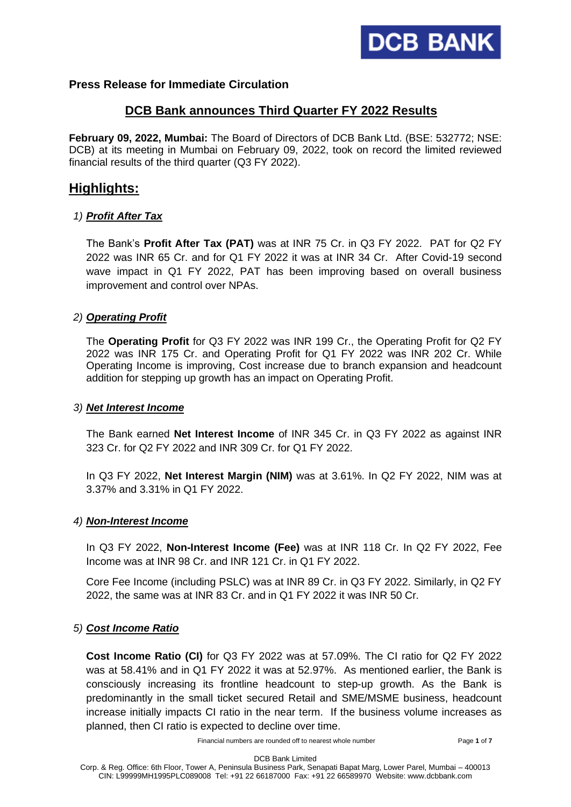

## **Press Release for Immediate Circulation**

## **DCB Bank announces Third Quarter FY 2022 Results**

**February 09, 2022, Mumbai:** The Board of Directors of DCB Bank Ltd. (BSE: 532772; NSE: DCB) at its meeting in Mumbai on February 09, 2022, took on record the limited reviewed financial results of the third quarter (Q3 FY 2022).

# **Highlights:**

## *1) Profit After Tax*

The Bank's **Profit After Tax (PAT)** was at INR 75 Cr. in Q3 FY 2022. PAT for Q2 FY 2022 was INR 65 Cr. and for Q1 FY 2022 it was at INR 34 Cr. After Covid-19 second wave impact in Q1 FY 2022, PAT has been improving based on overall business improvement and control over NPAs.

## *2) Operating Profit*

The **Operating Profit** for Q3 FY 2022 was INR 199 Cr., the Operating Profit for Q2 FY 2022 was INR 175 Cr. and Operating Profit for Q1 FY 2022 was INR 202 Cr. While Operating Income is improving, Cost increase due to branch expansion and headcount addition for stepping up growth has an impact on Operating Profit.

## *3) Net Interest Income*

The Bank earned **Net Interest Income** of INR 345 Cr. in Q3 FY 2022 as against INR 323 Cr. for Q2 FY 2022 and INR 309 Cr. for Q1 FY 2022.

In Q3 FY 2022, **Net Interest Margin (NIM)** was at 3.61%. In Q2 FY 2022, NIM was at 3.37% and 3.31% in Q1 FY 2022.

## *4) Non-Interest Income*

In Q3 FY 2022, **Non-Interest Income (Fee)** was at INR 118 Cr. In Q2 FY 2022, Fee Income was at INR 98 Cr. and INR 121 Cr. in Q1 FY 2022.

Core Fee Income (including PSLC) was at INR 89 Cr. in Q3 FY 2022. Similarly, in Q2 FY 2022, the same was at INR 83 Cr. and in Q1 FY 2022 it was INR 50 Cr.

## *5) Cost Income Ratio*

**Cost Income Ratio (CI)** for Q3 FY 2022 was at 57.09%. The CI ratio for Q2 FY 2022 was at 58.41% and in Q1 FY 2022 it was at 52.97%. As mentioned earlier, the Bank is consciously increasing its frontline headcount to step-up growth. As the Bank is predominantly in the small ticket secured Retail and SME/MSME business, headcount increase initially impacts CI ratio in the near term. If the business volume increases as planned, then CI ratio is expected to decline over time.

Financial numbers are rounded off to nearest whole number Page **1** of **7**

DCB Bank Limited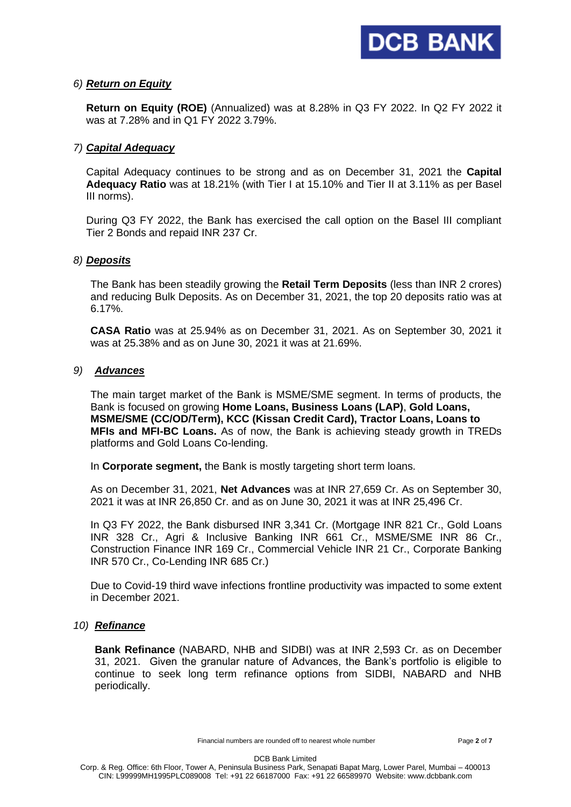

#### *6) Return on Equity*

**Return on Equity (ROE)** (Annualized) was at 8.28% in Q3 FY 2022. In Q2 FY 2022 it was at 7.28% and in Q1 FY 2022 3.79%.

#### *7) Capital Adequacy*

Capital Adequacy continues to be strong and as on December 31, 2021 the **Capital Adequacy Ratio** was at 18.21% (with Tier I at 15.10% and Tier II at 3.11% as per Basel III norms).

During Q3 FY 2022, the Bank has exercised the call option on the Basel III compliant Tier 2 Bonds and repaid INR 237 Cr.

#### *8) Deposits*

The Bank has been steadily growing the **Retail Term Deposits** (less than INR 2 crores) and reducing Bulk Deposits. As on December 31, 2021, the top 20 deposits ratio was at 6.17%.

**CASA Ratio** was at 25.94% as on December 31, 2021. As on September 30, 2021 it was at 25.38% and as on June 30, 2021 it was at 21.69%.

#### *9) Advances*

The main target market of the Bank is MSME/SME segment. In terms of products, the Bank is focused on growing **Home Loans, Business Loans (LAP)**, **Gold Loans, MSME/SME (CC/OD/Term), KCC (Kissan Credit Card), Tractor Loans, Loans to MFIs and MFI-BC Loans.** As of now, the Bank is achieving steady growth in TREDs platforms and Gold Loans Co-lending.

In **Corporate segment,** the Bank is mostly targeting short term loans.

As on December 31, 2021, **Net Advances** was at INR 27,659 Cr. As on September 30, 2021 it was at INR 26,850 Cr. and as on June 30, 2021 it was at INR 25,496 Cr.

In Q3 FY 2022, the Bank disbursed INR 3,341 Cr. (Mortgage INR 821 Cr., Gold Loans INR 328 Cr., Agri & Inclusive Banking INR 661 Cr., MSME/SME INR 86 Cr., Construction Finance INR 169 Cr., Commercial Vehicle INR 21 Cr., Corporate Banking INR 570 Cr., Co-Lending INR 685 Cr.)

Due to Covid-19 third wave infections frontline productivity was impacted to some extent in December 2021.

#### *10) Refinance*

**Bank Refinance** (NABARD, NHB and SIDBI) was at INR 2,593 Cr. as on December 31, 2021. Given the granular nature of Advances, the Bank's portfolio is eligible to continue to seek long term refinance options from SIDBI, NABARD and NHB periodically.

Financial numbers are rounded off to nearest whole number Page **2** of **7**

DCB Bank Limited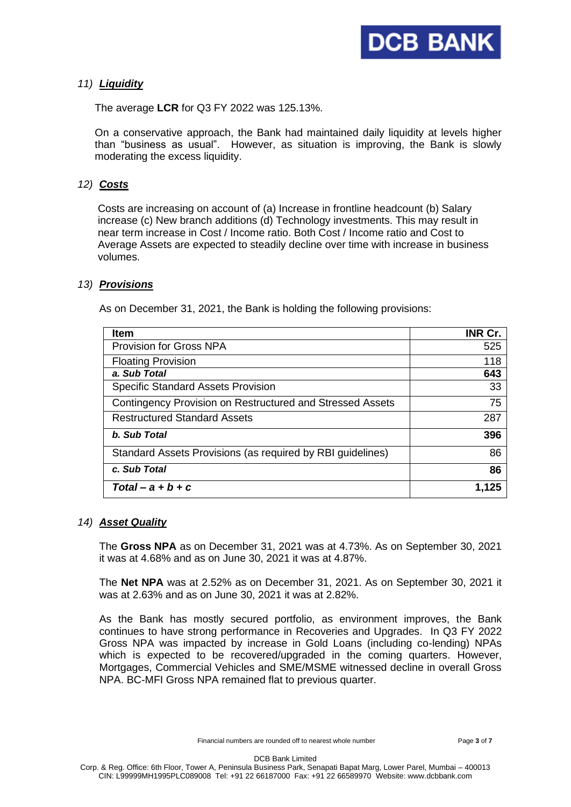

### *11) Liquidity*

The average **LCR** for Q3 FY 2022 was 125.13%.

On a conservative approach, the Bank had maintained daily liquidity at levels higher than "business as usual". However, as situation is improving, the Bank is slowly moderating the excess liquidity.

## *12) Costs*

Costs are increasing on account of (a) Increase in frontline headcount (b) Salary increase (c) New branch additions (d) Technology investments. This may result in near term increase in Cost / Income ratio. Both Cost / Income ratio and Cost to Average Assets are expected to steadily decline over time with increase in business volumes.

### *13) Provisions*

As on December 31, 2021, the Bank is holding the following provisions:

| <b>Item</b>                                                | <b>INR Cr.</b> |
|------------------------------------------------------------|----------------|
| <b>Provision for Gross NPA</b>                             | 525            |
| <b>Floating Provision</b>                                  | 118            |
| a. Sub Total                                               | 643            |
| <b>Specific Standard Assets Provision</b>                  | 33             |
| Contingency Provision on Restructured and Stressed Assets  | 75             |
| <b>Restructured Standard Assets</b>                        | 287            |
| b. Sub Total                                               | 396            |
| Standard Assets Provisions (as required by RBI guidelines) | 86             |
| c. Sub Total                                               | 86             |
| $Total - a + b + c$                                        | 1,125          |

#### *14) Asset Quality*

The **Gross NPA** as on December 31, 2021 was at 4.73%. As on September 30, 2021 it was at 4.68% and as on June 30, 2021 it was at 4.87%.

The **Net NPA** was at 2.52% as on December 31, 2021. As on September 30, 2021 it was at 2.63% and as on June 30, 2021 it was at 2.82%.

As the Bank has mostly secured portfolio, as environment improves, the Bank continues to have strong performance in Recoveries and Upgrades. In Q3 FY 2022 Gross NPA was impacted by increase in Gold Loans (including co-lending) NPAs which is expected to be recovered/upgraded in the coming quarters. However, Mortgages, Commercial Vehicles and SME/MSME witnessed decline in overall Gross NPA. BC-MFI Gross NPA remained flat to previous quarter.

Financial numbers are rounded off to nearest whole number Page **3** of **7**

DCB Bank Limited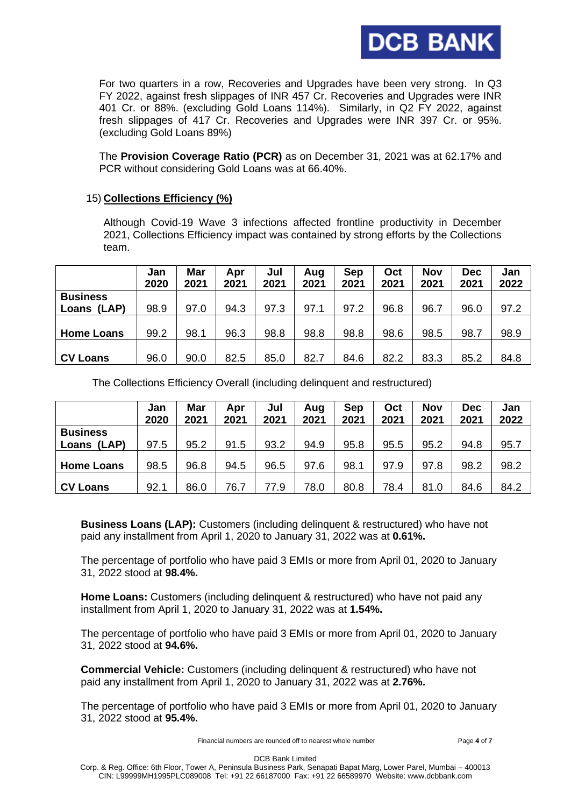

For two quarters in a row, Recoveries and Upgrades have been very strong. In Q3 FY 2022, against fresh slippages of INR 457 Cr. Recoveries and Upgrades were INR 401 Cr. or 88%. (excluding Gold Loans 114%). Similarly, in Q2 FY 2022, against fresh slippages of 417 Cr. Recoveries and Upgrades were INR 397 Cr. or 95%. (excluding Gold Loans 89%)

The **Provision Coverage Ratio (PCR)** as on December 31, 2021 was at 62.17% and PCR without considering Gold Loans was at 66.40%.

### 15) **Collections Efficiency (%)**

Although Covid-19 Wave 3 infections affected frontline productivity in December 2021, Collections Efficiency impact was contained by strong efforts by the Collections team.

|                   | Jan<br>2020 | Mar<br>2021 | Apr<br>2021 | Jul<br>2021 | Aug<br>2021 | Sep<br>2021 | Oct<br>2021 | <b>Nov</b><br>2021 | <b>Dec</b><br>2021 | Jan<br>2022 |
|-------------------|-------------|-------------|-------------|-------------|-------------|-------------|-------------|--------------------|--------------------|-------------|
| <b>Business</b>   |             |             |             |             |             |             |             |                    |                    |             |
| Loans (LAP)       | 98.9        | 97.0        | 94.3        | 97.3        | 97.1        | 97.2        | 96.8        | 96.7               | 96.0               | 97.2        |
|                   |             |             |             |             |             |             |             |                    |                    |             |
| <b>Home Loans</b> | 99.2        | 98.1        | 96.3        | 98.8        | 98.8        | 98.8        | 98.6        | 98.5               | 98.7               | 98.9        |
|                   |             |             |             |             |             |             |             |                    |                    |             |
| <b>CV Loans</b>   | 96.0        | 90.0        | 82.5        | 85.0        | 82.7        | 84.6        | 82.2        | 83.3               | 85.2               | 84.8        |

The Collections Efficiency Overall (including delinquent and restructured)

|                   | Jan<br>2020 | Mar<br>2021 | Apr<br>2021 | Jul<br>2021 | Aug<br>2021 | Sep<br>2021 | Oct<br>2021 | Nov<br>2021 | Dec<br>2021 | Jan<br>2022 |
|-------------------|-------------|-------------|-------------|-------------|-------------|-------------|-------------|-------------|-------------|-------------|
| <b>Business</b>   |             |             |             |             |             |             |             |             |             |             |
| Loans (LAP)       | 97.5        | 95.2        | 91.5        | 93.2        | 94.9        | 95.8        | 95.5        | 95.2        | 94.8        | 95.7        |
| <b>Home Loans</b> | 98.5        | 96.8        | 94.5        | 96.5        | 97.6        | 98.1        | 97.9        | 97.8        | 98.2        | 98.2        |
| <b>CV Loans</b>   | 92.1        | 86.0        | 76.7        | 77.9        | 78.0        | 80.8        | 78.4        | 81.0        | 84.6        | 84.2        |

 **Business Loans (LAP):** Customers (including delinquent & restructured) who have not paid any installment from April 1, 2020 to January 31, 2022 was at **0.61%.**

 The percentage of portfolio who have paid 3 EMIs or more from April 01, 2020 to January 31, 2022 stood at **98.4%.**

 **Home Loans:** Customers (including delinquent & restructured) who have not paid any installment from April 1, 2020 to January 31, 2022 was at **1.54%.**

 The percentage of portfolio who have paid 3 EMIs or more from April 01, 2020 to January 31, 2022 stood at **94.6%.**

 **Commercial Vehicle:** Customers (including delinquent & restructured) who have not paid any installment from April 1, 2020 to January 31, 2022 was at **2.76%.**

 The percentage of portfolio who have paid 3 EMIs or more from April 01, 2020 to January 31, 2022 stood at **95.4%.**

Financial numbers are rounded off to nearest whole number Page **4** of **7**

DCB Bank Limited

Corp. & Reg. Office: 6th Floor, Tower A, Peninsula Business Park, Senapati Bapat Marg, Lower Parel, Mumbai – 400013 CIN: L99999MH1995PLC089008 Tel: +91 22 66187000 Fax: +91 22 66589970 Website: www.dcbbank.com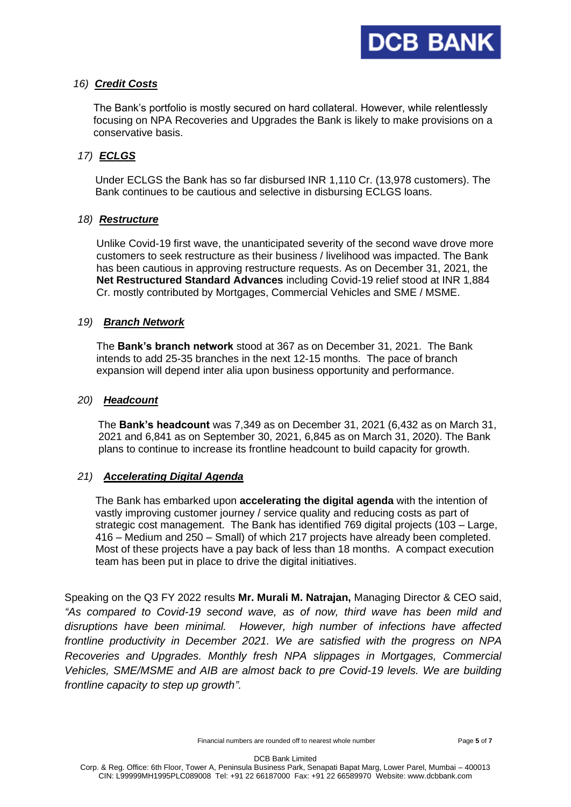

### *16) Credit Costs*

The Bank's portfolio is mostly secured on hard collateral. However, while relentlessly focusing on NPA Recoveries and Upgrades the Bank is likely to make provisions on a conservative basis.

## *17) ECLGS*

Under ECLGS the Bank has so far disbursed INR 1,110 Cr. (13,978 customers). The Bank continues to be cautious and selective in disbursing ECLGS loans.

### *18) Restructure*

 Unlike Covid-19 first wave, the unanticipated severity of the second wave drove more customers to seek restructure as their business / livelihood was impacted. The Bank has been cautious in approving restructure requests. As on December 31, 2021, the **Net Restructured Standard Advances** including Covid-19 relief stood at INR 1,884 Cr. mostly contributed by Mortgages, Commercial Vehicles and SME / MSME.

### *19) Branch Network*

 The **Bank's branch network** stood at 367 as on December 31, 2021. The Bank intends to add 25-35 branches in the next 12-15 months. The pace of branch expansion will depend inter alia upon business opportunity and performance.

### *20) Headcount*

 The **Bank's headcount** was 7,349 as on December 31, 2021 (6,432 as on March 31, 2021 and 6,841 as on September 30, 2021, 6,845 as on March 31, 2020). The Bank plans to continue to increase its frontline headcount to build capacity for growth.

## *21) Accelerating Digital Agenda*

 The Bank has embarked upon **accelerating the digital agenda** with the intention of vastly improving customer journey / service quality and reducing costs as part of strategic cost management. The Bank has identified 769 digital projects (103 – Large, 416 – Medium and 250 – Small) of which 217 projects have already been completed. Most of these projects have a pay back of less than 18 months. A compact execution team has been put in place to drive the digital initiatives.

Speaking on the Q3 FY 2022 results **Mr. Murali M. Natrajan,** Managing Director & CEO said, *"As compared to Covid-19 second wave, as of now, third wave has been mild and disruptions have been minimal. However, high number of infections have affected frontline productivity in December 2021. We are satisfied with the progress on NPA Recoveries and Upgrades. Monthly fresh NPA slippages in Mortgages, Commercial Vehicles, SME/MSME and AIB are almost back to pre Covid-19 levels. We are building frontline capacity to step up growth".*

DCB Bank Limited Corp. & Reg. Office: 6th Floor, Tower A, Peninsula Business Park, Senapati Bapat Marg, Lower Parel, Mumbai – 400013 CIN: L99999MH1995PLC089008 Tel: +91 22 66187000 Fax: +91 22 66589970 Website: www.dcbbank.com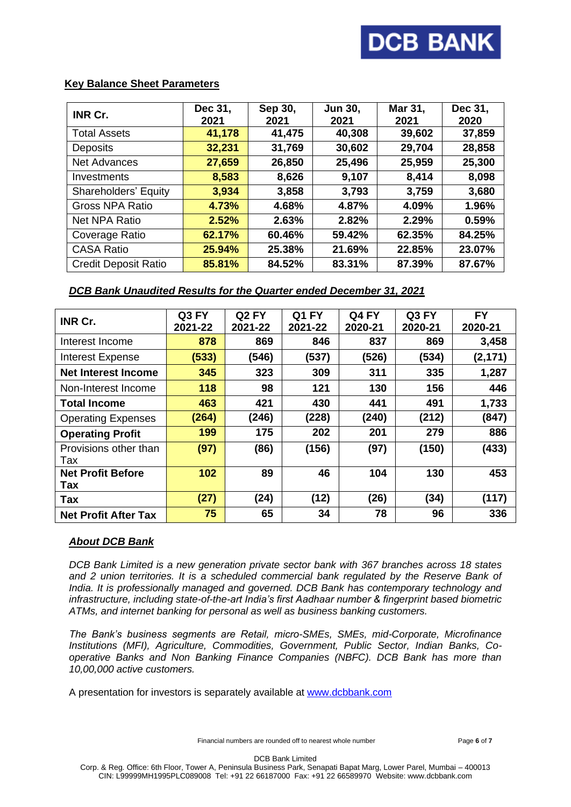# **DCB BANK**

### **Key Balance Sheet Parameters**

| <b>INR Cr.</b>              | Dec 31,<br>2021 | Sep 30,<br>2021 | <b>Jun 30,</b><br>2021 | Mar 31,<br>2021 | Dec 31,<br>2020 |
|-----------------------------|-----------------|-----------------|------------------------|-----------------|-----------------|
| <b>Total Assets</b>         | 41,178          | 41,475          | 40,308                 | 39,602          | 37,859          |
| <b>Deposits</b>             | 32,231          | 31,769          | 30,602                 | 29,704          | 28,858          |
| <b>Net Advances</b>         | 27,659          | 26,850          | 25,496                 | 25,959          | 25,300          |
| Investments                 | 8,583           | 8,626           | 9,107                  | 8,414           | 8,098           |
| Shareholders' Equity        | 3.934           | 3,858           | 3,793                  | 3,759           | 3,680           |
| <b>Gross NPA Ratio</b>      | 4.73%           | 4.68%           | 4.87%                  | 4.09%           | 1.96%           |
| <b>Net NPA Ratio</b>        | 2.52%           | 2.63%           | 2.82%                  | 2.29%           | 0.59%           |
| Coverage Ratio              | 62.17%          | 60.46%          | 59.42%                 | 62.35%          | 84.25%          |
| <b>CASA Ratio</b>           | 25.94%          | 25.38%          | 21.69%                 | 22.85%          | 23.07%          |
| <b>Credit Deposit Ratio</b> | 85.81%          | 84.52%          | 83.31%                 | 87.39%          | 87.67%          |

## *DCB Bank Unaudited Results for the Quarter ended December 31, 2021*

| <b>INR Cr.</b>              | Q3 FY   | Q <sub>2</sub> FY | Q1 FY   | Q4 FY   | Q3 FY   | <b>FY</b> |
|-----------------------------|---------|-------------------|---------|---------|---------|-----------|
|                             | 2021-22 | 2021-22           | 2021-22 | 2020-21 | 2020-21 | 2020-21   |
| Interest Income             | 878     | 869               | 846     | 837     | 869     | 3,458     |
| <b>Interest Expense</b>     | (533)   | (546)             | (537)   | (526)   | (534)   | (2, 171)  |
| <b>Net Interest Income</b>  | 345     | 323               | 309     | 311     | 335     | 1,287     |
| Non-Interest Income         | 118     | 98                | 121     | 130     | 156     | 446       |
| <b>Total Income</b>         | 463     | 421               | 430     | 441     | 491     | 1,733     |
| <b>Operating Expenses</b>   | (264)   | (246)             | (228)   | (240)   | (212)   | (847)     |
| <b>Operating Profit</b>     | 199     | 175               | 202     | 201     | 279     | 886       |
| Provisions other than       | (97)    | (86)              | (156)   | (97)    | (150)   | (433)     |
| Tax                         |         |                   |         |         |         |           |
| <b>Net Profit Before</b>    | 102     | 89                | 46      | 104     | 130     | 453       |
| Tax                         |         |                   |         |         |         |           |
| Tax                         | (27)    | (24)              | (12)    | (26)    | (34)    | (117)     |
| <b>Net Profit After Tax</b> | 75      | 65                | 34      | 78      | 96      | 336       |

#### *About DCB Bank*

*DCB Bank Limited is a new generation private sector bank with 367 branches across 18 states and 2 union territories. It is a scheduled commercial bank regulated by the Reserve Bank of India. It is professionally managed and governed. DCB Bank has contemporary technology and infrastructure, including state-of-the-art India's first Aadhaar number & fingerprint based biometric ATMs, and internet banking for personal as well as business banking customers.* 

*The Bank's business segments are Retail, micro-SMEs, SMEs, mid-Corporate, Microfinance Institutions (MFI), Agriculture, Commodities, Government, Public Sector, Indian Banks, Cooperative Banks and Non Banking Finance Companies (NBFC). DCB Bank has more than 10,00,000 active customers.* 

A presentation for investors is separately available at [www.dcbbank.com](http://www.dcbbank.com/)

DCB Bank Limited

Corp. & Reg. Office: 6th Floor, Tower A, Peninsula Business Park, Senapati Bapat Marg, Lower Parel, Mumbai – 400013 CIN: L99999MH1995PLC089008 Tel: +91 22 66187000 Fax: +91 22 66589970 Website: www.dcbbank.com